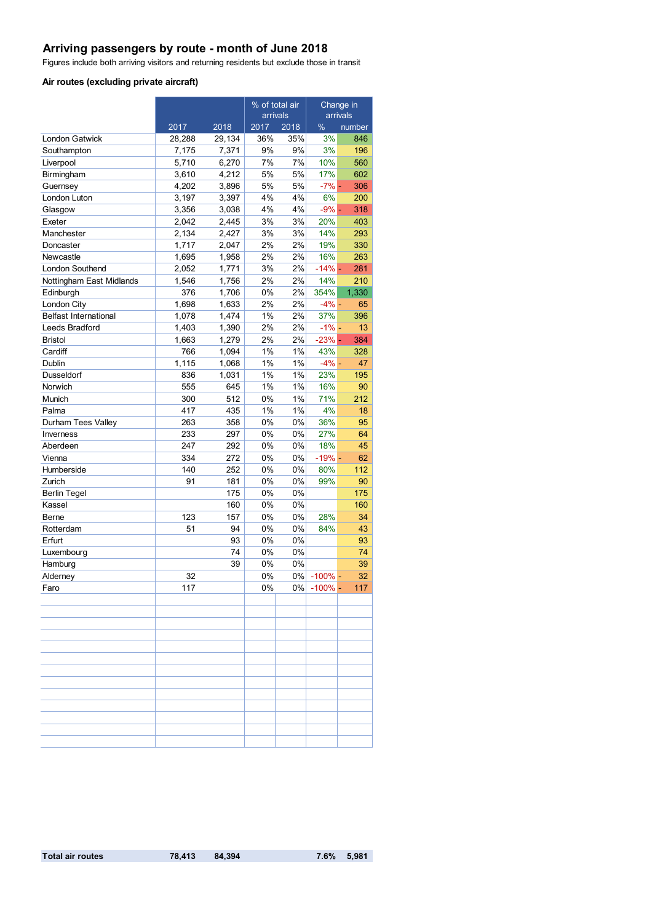# **Arriving passengers by route - month of June 2018**

Figures include both arriving visitors and returning residents but exclude those in transit

#### **Air routes (excluding private aircraft)**

|                              |        |        | % of total air<br>arrivals |       | Change in  |        |
|------------------------------|--------|--------|----------------------------|-------|------------|--------|
|                              |        |        |                            |       | arrivals   |        |
|                              | 2017   | 2018   | 2017                       | 2018  | $\%$       | number |
| London Gatwick               | 28,288 | 29,134 | 36%                        | 35%   | 3%         | 846    |
| Southampton                  | 7,175  | 7,371  | 9%                         | 9%    | 3%         | 196    |
| Liverpool                    | 5,710  | 6,270  | 7%                         | 7%    | 10%        | 560    |
| Birmingham                   | 3,610  | 4,212  | 5%                         | 5%    | 17%        | 602    |
| Guernsey                     | 4,202  | 3,896  | 5%                         | 5%    | $-7%$ -    | 306    |
| London Luton                 | 3,197  | 3,397  | 4%                         | 4%    | 6%         | 200    |
| Glasgow                      | 3,356  | 3,038  | 4%                         | 4%    | $-9% -$    | 318    |
| Exeter                       | 2,042  | 2,445  | 3%                         | 3%    | 20%        | 403    |
| Manchester                   | 2,134  | 2,427  | 3%                         | 3%    | 14%        | 293    |
| Doncaster                    | 1,717  | 2,047  | 2%                         | 2%    | 19%        | 330    |
| Newcastle                    | 1,695  | 1,958  | 2%                         | 2%    | 16%        | 263    |
| London Southend              | 2,052  | 1,771  | 3%                         | 2%    | $-14%$ -   | 281    |
| Nottingham East Midlands     | 1,546  | 1,756  | 2%                         | 2%    | 14%        | 210    |
| Edinburgh                    | 376    | 1,706  | 0%                         | 2%    | 354%       | 1,330  |
| London City                  | 1,698  | 1,633  | 2%                         | 2%    | $-4%$ -    | 65     |
| <b>Belfast International</b> | 1,078  | 1.474  | 1%                         | 2%    | 37%        | 396    |
| Leeds Bradford               | 1,403  | 1,390  | 2%                         | 2%    | $-1\%$ –   | 13     |
| <b>Bristol</b>               | 1,663  | 1,279  | 2%                         | 2%    | $-23% -$   | 384    |
| Cardiff                      | 766    | 1,094  | 1%                         | 1%    | 43%        | 328    |
| Dublin                       | 1,115  | 1,068  | 1%                         | 1%    | $-4%$ -    | 47     |
| Dusseldorf                   | 836    | 1,031  | 1%                         | 1%    | 23%        | 195    |
| Norwich                      | 555    | 645    | 1%                         | $1\%$ | 16%        | 90     |
| Munich                       | 300    | 512    | 0%                         | 1%    | 71%        | 212    |
| Palma                        | 417    | 435    | 1%                         | 1%    | 4%         | 18     |
| Durham Tees Valley           | 263    | 358    | 0%                         | 0%    | 36%        | 95     |
| Inverness                    | 233    | 297    | 0%                         | 0%    | 27%        | 64     |
| Aberdeen                     | 247    | 292    | 0%                         | 0%    | 18%        | 45     |
| Vienna                       | 334    | 272    | 0%                         | 0%    | $-19% -$   | 62     |
| Humberside                   | 140    | 252    | 0%                         | 0%    | 80%        | 112    |
| Zurich                       | 91     | 181    | 0%                         | 0%    | 99%        | 90     |
| <b>Berlin Tegel</b>          |        | 175    | 0%                         | 0%    |            | 175    |
| Kassel                       |        | 160    | 0%                         | 0%    |            | 160    |
| Berne                        | 123    | 157    | 0%                         | 0%    | 28%        | 34     |
| Rotterdam                    | 51     | 94     | 0%                         | 0%    | 84%        | 43     |
| Erfurt                       |        | 93     | 0%                         | 0%    |            | 93     |
| Luxembourg                   |        | 74     | $0\%$                      | 0%    |            | 74     |
| Hamburg                      |        | 39     | 0%                         | 0%    |            | 39     |
| Alderney                     | 32     |        | 0%                         | 0%    | $-100\%$ - | 32     |
| Faro                         | 117    |        | $0\%$                      | 0%    | $-100%$ -  | 117    |
|                              |        |        |                            |       |            |        |
|                              |        |        |                            |       |            |        |
|                              |        |        |                            |       |            |        |
|                              |        |        |                            |       |            |        |
|                              |        |        |                            |       |            |        |
|                              |        |        |                            |       |            |        |
|                              |        |        |                            |       |            |        |
|                              |        |        |                            |       |            |        |
|                              |        |        |                            |       |            |        |
|                              |        |        |                            |       |            |        |
|                              |        |        |                            |       |            |        |
|                              |        |        |                            |       |            |        |
|                              |        |        |                            |       |            |        |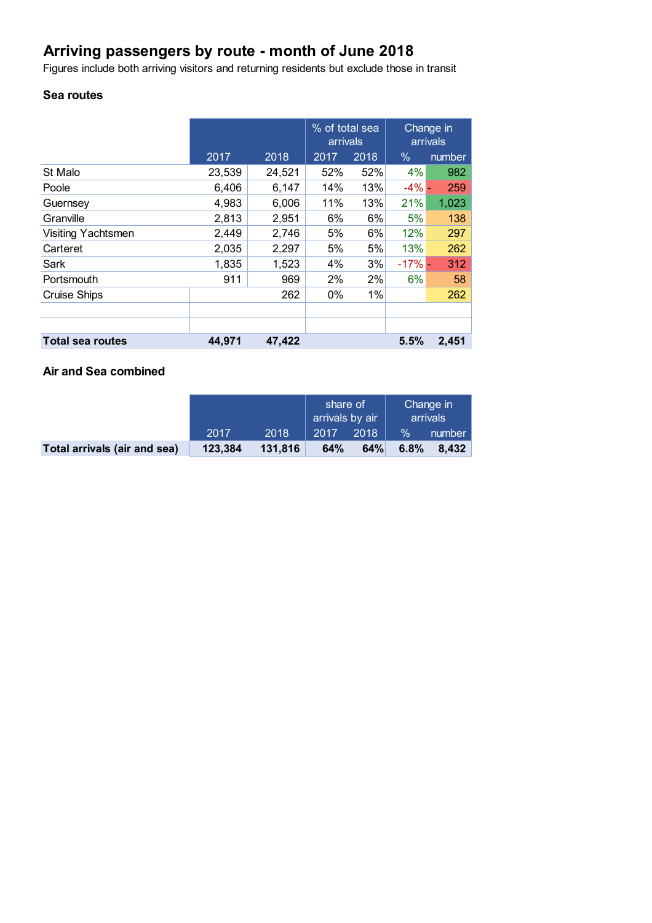# **Arriving passengers by route - month of June 2018**

Figures include both arriving visitors and returning residents but exclude those in transit

### **Sea routes**

|                         |        |        | % of total sea<br>arrivals |      | Change in<br>arrivals |        |
|-------------------------|--------|--------|----------------------------|------|-----------------------|--------|
|                         | 2017   | 2018   | 2017                       | 2018 | $\%$                  | number |
| St Malo                 | 23,539 | 24,521 | 52%                        | 52%  | 4%                    | 982    |
| Poole                   | 6,406  | 6,147  | 14%                        | 13%  | $-4\%$ -              | 259    |
| Guernsey                | 4,983  | 6,006  | 11%                        | 13%  | 21%                   | 1,023  |
| Granville               | 2,813  | 2,951  | 6%                         | 6%   | 5%                    | 138    |
| Visiting Yachtsmen      | 2,449  | 2,746  | 5%                         | 6%   | 12%                   | 297    |
| Carteret                | 2,035  | 2,297  | 5%                         | 5%   | 13%                   | 262    |
| Sark                    | 1,835  | 1,523  | 4%                         | 3%   | $-17%$                | 312    |
| Portsmouth              | 911    | 969    | 2%                         | 2%   | 6%                    | 58     |
| <b>Cruise Ships</b>     |        | 262    | $0\%$                      | 1%   |                       | 262    |
|                         |        |        |                            |      |                       |        |
|                         |        |        |                            |      |                       |        |
| <b>Total sea routes</b> | 44,971 | 47,422 |                            |      | 5.5%                  | 2,451  |

### **Air and Sea combined**

|                              |         |         | share of<br>arrivals by air |      | Change in<br>arrivals |        |
|------------------------------|---------|---------|-----------------------------|------|-----------------------|--------|
|                              | 2017    | 2018    | 2017                        | 2018 | $\frac{9}{6}$         | number |
| Total arrivals (air and sea) | 123,384 | 131,816 | 64%                         | 64%  | 6.8%                  | 8.432  |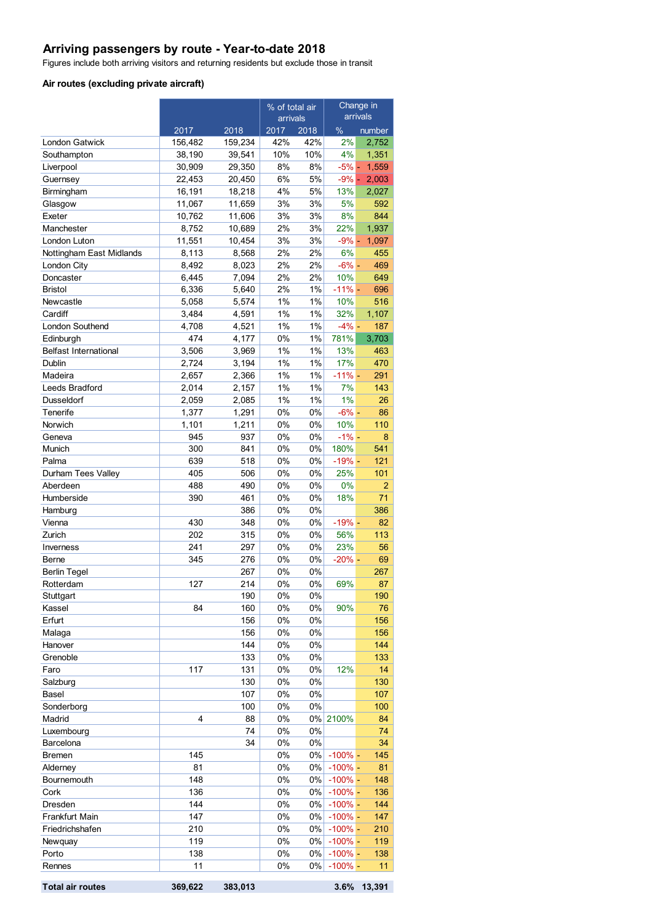## **Arriving passengers by route - Year-to-date 2018**

Figures include both arriving visitors and returning residents but exclude those in transit

#### **Air routes (excluding private aircraft)**

|                              |              | % of total air<br>arrivals |             | Change in<br>arrivals |                          |           |
|------------------------------|--------------|----------------------------|-------------|-----------------------|--------------------------|-----------|
|                              | 2017         | 2018                       | 2017        | 2018                  | $\%$                     | number    |
| <b>London Gatwick</b>        | 156,482      | 159,234                    | 42%         | 42%                   | 2%                       | 2,752     |
| Southampton                  | 38,190       | 39,541                     | 10%         | 10%                   | 4%                       | 1,351     |
| Liverpool                    | 30,909       | 29,350                     | 8%          | 8%                    | $-5%$ -                  | 1,559     |
| Guernsey                     | 22,453       | 20,450                     | 6%          | 5%                    | $-9\%$ -                 | 2,003     |
| Birmingham                   | 16,191       | 18,218                     | 4%          | 5%                    | 13%                      | 2,027     |
| Glasgow                      | 11,067       | 11,659                     | 3%          | 3%                    | 5%                       | 592       |
| Exeter                       | 10,762       | 11,606                     | 3%          | 3%                    | 8%                       | 844       |
| Manchester                   | 8,752        | 10,689                     | 2%          | 3%                    | 22%                      | 1,937     |
| London Luton                 | 11,551       | 10,454                     | 3%          | 3%                    | $-9\%$ -                 | 1,097     |
| Nottingham East Midlands     | 8,113        | 8,568                      | 2%          | 2%                    | 6%                       | 455       |
| London City                  | 8,492        | 8,023                      | 2%          | 2%                    | $-6% -$                  | 469       |
| Doncaster                    | 6,445        | 7,094                      | 2%          | 2%                    | 10%                      | 649       |
| <b>Bristol</b>               | 6,336        | 5,640                      | 2%          | 1%                    | $-11% -$                 | 696       |
| Newcastle                    | 5,058        | 5,574                      | 1%          | 1%                    | 10%                      | 516       |
| Cardiff                      | 3,484        | 4,591                      | 1%          | 1%                    | 32%                      | 1,107     |
| London Southend              | 4,708        | 4,521                      | 1%          | 1%                    | $-4\%$ -                 | 187       |
| Edinburgh                    | 474          | 4,177                      | 0%          | 1%                    | 781%                     | 3,703     |
| <b>Belfast International</b> | 3,506        | 3,969                      | 1%          | 1%                    | 13%                      | 463       |
| Dublin                       | 2.724        | 3,194                      | 1%          | 1%                    | 17%                      | 470       |
| Madeira                      | 2,657        | 2,366                      | 1%          | 1%                    | $-11% -$                 | 291       |
| Leeds Bradford               | 2,014        | 2,157                      | 1%<br>1%    | 1%                    | 7%<br>1%                 | 143       |
| Dusseldorf                   | 2,059        | 2,085                      |             | 1%                    |                          | 26        |
| Tenerife                     | 1,377        | 1,291                      | $0\%$<br>0% | 0%<br>0%              | $-6\%$ -                 | 86        |
| Norwich                      | 1,101<br>945 | 1,211<br>937               | 0%          | 0%                    | 10%<br>$-1\%$ -          | 110<br>8  |
| Geneva<br>Munich             | 300          | 841                        | 0%          | 0%                    | 180%                     | 541       |
| Palma                        | 639          | 518                        | 0%          | 0%                    | $-19% -$                 | 121       |
| Durham Tees Valley           | 405          | 506                        | 0%          | 0%                    | 25%                      | 101       |
| Aberdeen                     | 488          | 490                        | 0%          | 0%                    | 0%                       | 2         |
| Humberside                   | 390          | 461                        | 0%          | 0%                    | 18%                      | 71        |
| Hamburg                      |              | 386                        | 0%          | 0%                    |                          | 386       |
| Vienna                       | 430          | 348                        | 0%          | 0%                    | $-19% -$                 | 82        |
| Zurich                       | 202          | 315                        | 0%          | 0%                    | 56%                      | 113       |
| Inverness                    | 241          | 297                        | 0%          | 0%                    | 23%                      | 56        |
| Berne                        | 345          | 276                        | 0%          | 0%                    | $-20%$ -                 | 69        |
| <b>Berlin Tegel</b>          |              | 267                        | 0%          | 0%                    |                          | 267       |
| Rotterdam                    | 127          | 214                        | 0%          | 0%                    | 69%                      | 87        |
| Stuttgart                    |              | 190                        | 0%          | 0%                    |                          | 190       |
| Kassel                       | 84           | 160                        | 0%          | 0%                    | 90%                      | 76        |
| Erfurt                       |              | 156                        | 0%          | 0%                    |                          | 156       |
| Malaga                       |              | 156                        | 0%          | 0%                    |                          | 156       |
| Hanover                      |              | 144                        | 0%          | 0%                    |                          | 144       |
| Grenoble                     |              | 133                        | 0%          | 0%                    |                          | 133       |
| Faro                         | 117          | 131                        | $0\%$       | 0%                    | 12%                      | 14        |
| Salzburg                     |              | 130                        | $0\%$       | 0%                    |                          | 130       |
| <b>Basel</b>                 |              | 107                        | 0%          | $0\%$                 |                          | 107       |
| Sonderborg                   |              | 100                        | 0%          | $0\%$                 |                          | 100       |
| Madrid                       | 4            | 88                         | 0%          | $0\%$                 | 2100%                    | 84        |
| Luxembourg                   |              | 74                         | 0%          | 0%                    |                          | 74        |
| Barcelona                    |              | 34                         | 0%          | 0%                    |                          | 34        |
| <b>Bremen</b>                | 145<br>81    |                            | 0%<br>0%    | $0\%$<br>$0\%$        | $-100\%$ -<br>$-100\%$ - | 145<br>81 |
| Alderney<br>Bournemouth      | 148          |                            | 0%          | $0\%$                 | $-100\%$ -               | 148       |
| Cork                         | 136          |                            | $0\%$       | 0%                    | $-100\%$ -               | 136       |
| Dresden                      | 144          |                            | 0%          | 0%                    | $-100\%$ -               | 144       |
| Frankfurt Main               | 147          |                            | 0%          | 0%                    | $-100\%$ -               | 147       |
| Friedrichshafen              | 210          |                            | 0%          | 0%                    | $-100\%$ -               | 210       |
| Newquay                      | 119          |                            | 0%          | 0%                    | $-100\%$ -               | 119       |
| Porto                        | 138          |                            | 0%          | 0%                    | $-100\%$ -               | 138       |
| Rennes                       | 11           |                            | $0\%$       | 0%                    | $-100\%$ -               | 11        |
|                              |              |                            |             |                       |                          |           |

**Total air routes 369,622 383,013 3.6% 13,391**